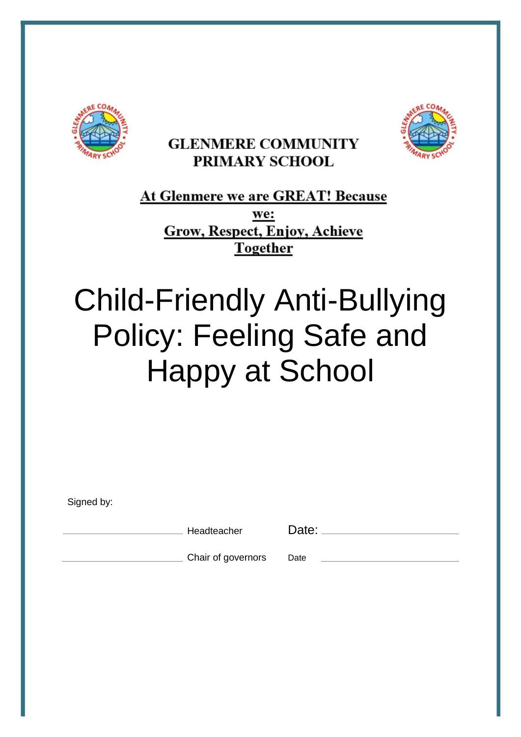

# **GLENMERE COMMUNITY** PRIMARY SCHOOL



<u>At Glenmere we are GREAT! Because</u> we: **Grow, Respect, Enjoy, Achieve Together** 

# Child-Friendly Anti-Bullying Policy: Feeling Safe and Happy at School

Signed by:

Headteacher Date:

Chair of governors Date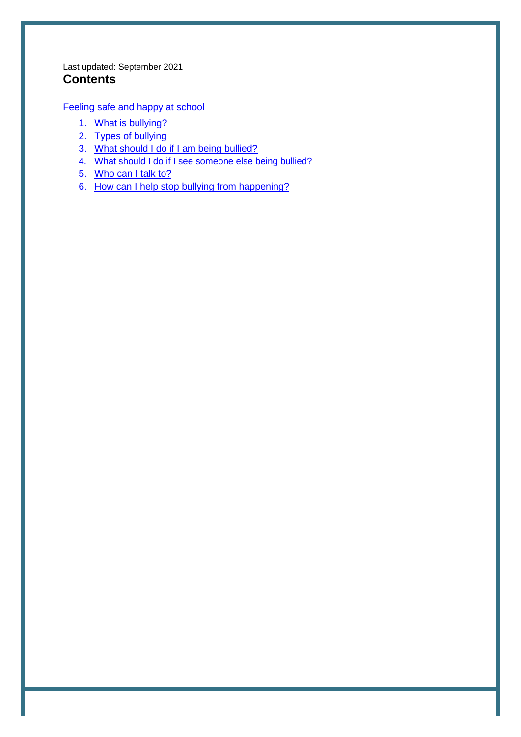#### Last updated: September 2021 **Contents**

[Feeling safe and happy at school](#page-2-0)

- 1. [What is bullying?](#page-3-0)
- 2. [Types of bullying](#page-3-0)
- 3. [What should I do if I am being bullied?](#page-4-0)
- 4. [What should I do if I see someone else being bullied?](#page-4-0)
- 5. [Who can I talk to?](#page-5-0)
- 6. [How can I help stop bullying from happening?](#page-5-0)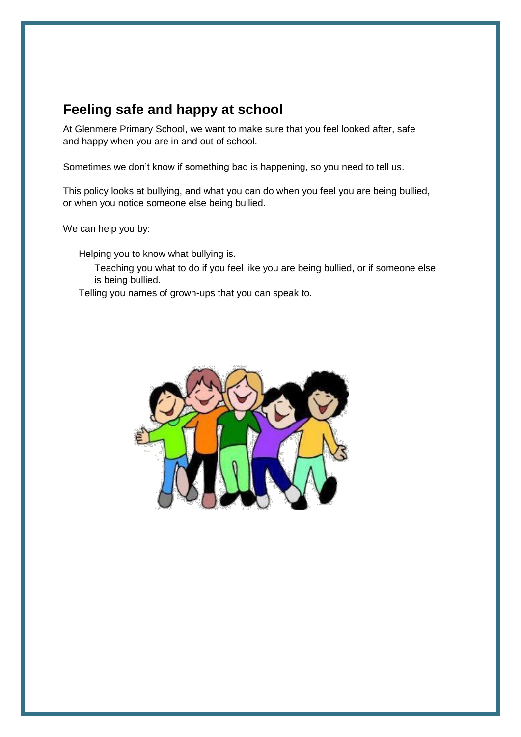## <span id="page-2-0"></span>**Feeling safe and happy at school**

At Glenmere Primary School, we want to make sure that you feel looked after, safe and happy when you are in and out of school.

Sometimes we don't know if something bad is happening, so you need to tell us.

This policy looks at bullying, and what you can do when you feel you are being bullied, or when you notice someone else being bullied.

We can help you by:

Helping you to know what bullying is.

Teaching you what to do if you feel like you are being bullied, or if someone else is being bullied.

Telling you names of grown-ups that you can speak to.

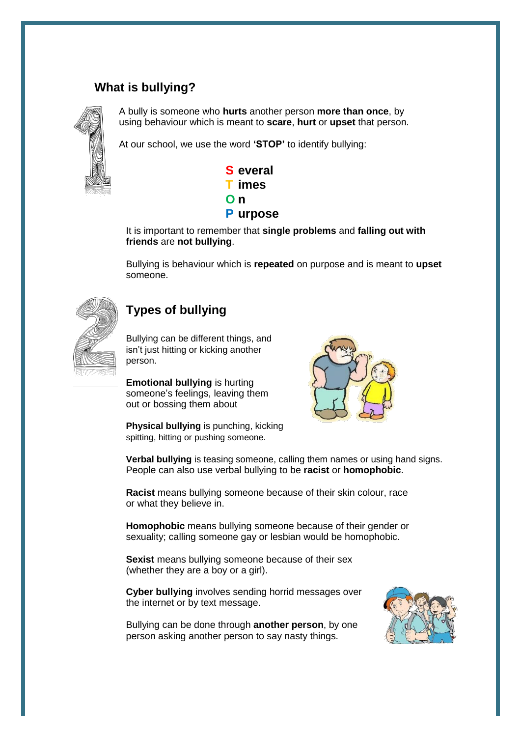#### <span id="page-3-0"></span>**What is bullying?**



A bully is someone who **hurts** another person **more than once**, by using behaviour which is meant to **scare**, **hurt** or **upset** that person.

At our school, we use the word **'STOP'** to identify bullying:



It is important to remember that **single problems** and **falling out with friends** are **not bullying**.

Bullying is behaviour which is **repeated** on purpose and is meant to **upset** someone.



#### **Types of bullying**

Bullying can be different things, and isn't just hitting or kicking another person.

**Emotional bullying** is hurting someone's feelings, leaving them out or bossing them about



**Physical bullying** is punching, kicking spitting, hitting or pushing someone.

**Verbal bullying** is teasing someone, calling them names or using hand signs. People can also use verbal bullying to be **racist** or **homophobic**.

**Racist** means bullying someone because of their skin colour, race or what they believe in.

**Homophobic** means bullying someone because of their gender or sexuality; calling someone gay or lesbian would be homophobic.

**Sexist** means bullying someone because of their sex (whether they are a boy or a girl).

**Cyber bullying** involves sending horrid messages over the internet or by text message.

Bullying can be done through **another person**, by one person asking another person to say nasty things.

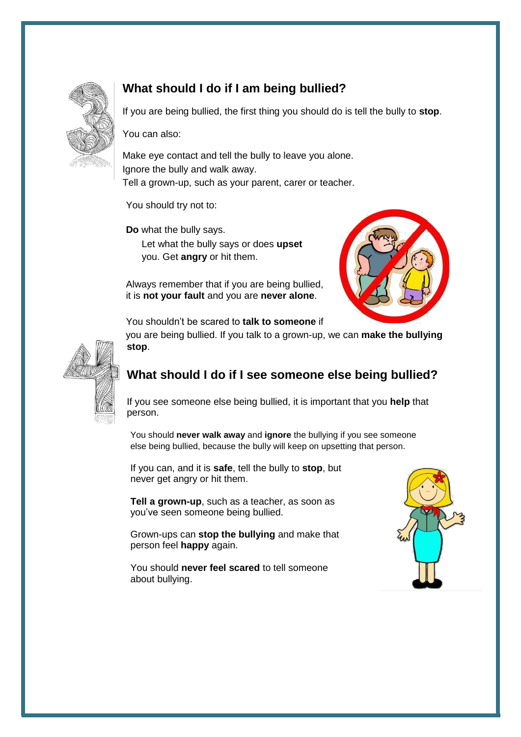<span id="page-4-0"></span>

## **What should I do if I am being bullied?**

If you are being bullied, the first thing you should do is tell the bully to **stop**.

You can also:

Make eye contact and tell the bully to leave you alone. Ignore the bully and walk away. Tell a grown-up, such as your parent, carer or teacher.

You should try not to:

**Do** what the bully says.

Let what the bully says or does **upset** you. Get **angry** or hit them.

Always remember that if you are being bullied, it is **not your fault** and you are **never alone**.



You shouldn't be scared to **talk to someone** if

you are being bullied. If you talk to a grown-up, we can **make the bullying stop**.



## **What should I do if I see someone else being bullied?**

If you see someone else being bullied, it is important that you **help** that person.

You should **never walk away** and **ignore** the bullying if you see someone else being bullied, because the bully will keep on upsetting that person.

If you can, and it is **safe**, tell the bully to **stop**, but never get angry or hit them.

**Tell a grown-up**, such as a teacher, as soon as you've seen someone being bullied.

Grown-ups can **stop the bullying** and make that person feel **happy** again.

You should **never feel scared** to tell someone about bullying.